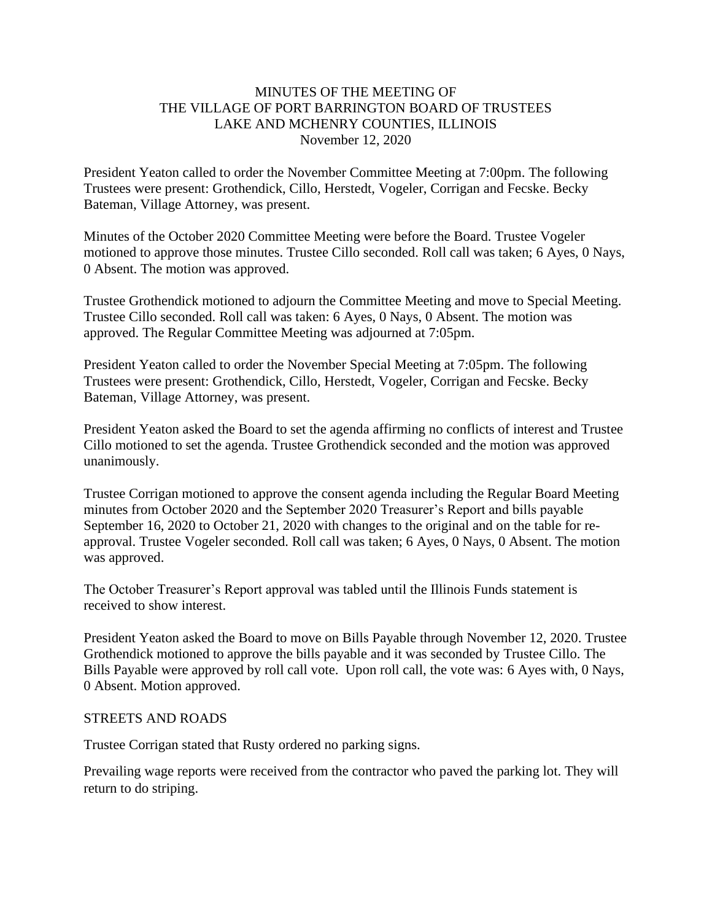### MINUTES OF THE MEETING OF THE VILLAGE OF PORT BARRINGTON BOARD OF TRUSTEES LAKE AND MCHENRY COUNTIES, ILLINOIS November 12, 2020

President Yeaton called to order the November Committee Meeting at 7:00pm. The following Trustees were present: Grothendick, Cillo, Herstedt, Vogeler, Corrigan and Fecske. Becky Bateman, Village Attorney, was present.

Minutes of the October 2020 Committee Meeting were before the Board. Trustee Vogeler motioned to approve those minutes. Trustee Cillo seconded. Roll call was taken; 6 Ayes, 0 Nays, 0 Absent. The motion was approved.

Trustee Grothendick motioned to adjourn the Committee Meeting and move to Special Meeting. Trustee Cillo seconded. Roll call was taken: 6 Ayes, 0 Nays, 0 Absent. The motion was approved. The Regular Committee Meeting was adjourned at 7:05pm.

President Yeaton called to order the November Special Meeting at 7:05pm. The following Trustees were present: Grothendick, Cillo, Herstedt, Vogeler, Corrigan and Fecske. Becky Bateman, Village Attorney, was present.

President Yeaton asked the Board to set the agenda affirming no conflicts of interest and Trustee Cillo motioned to set the agenda. Trustee Grothendick seconded and the motion was approved unanimously.

Trustee Corrigan motioned to approve the consent agenda including the Regular Board Meeting minutes from October 2020 and the September 2020 Treasurer's Report and bills payable September 16, 2020 to October 21, 2020 with changes to the original and on the table for reapproval. Trustee Vogeler seconded. Roll call was taken; 6 Ayes, 0 Nays, 0 Absent. The motion was approved.

The October Treasurer's Report approval was tabled until the Illinois Funds statement is received to show interest.

President Yeaton asked the Board to move on Bills Payable through November 12, 2020. Trustee Grothendick motioned to approve the bills payable and it was seconded by Trustee Cillo. The Bills Payable were approved by roll call vote. Upon roll call, the vote was: 6 Ayes with, 0 Nays, 0 Absent. Motion approved.

#### STREETS AND ROADS

Trustee Corrigan stated that Rusty ordered no parking signs.

Prevailing wage reports were received from the contractor who paved the parking lot. They will return to do striping.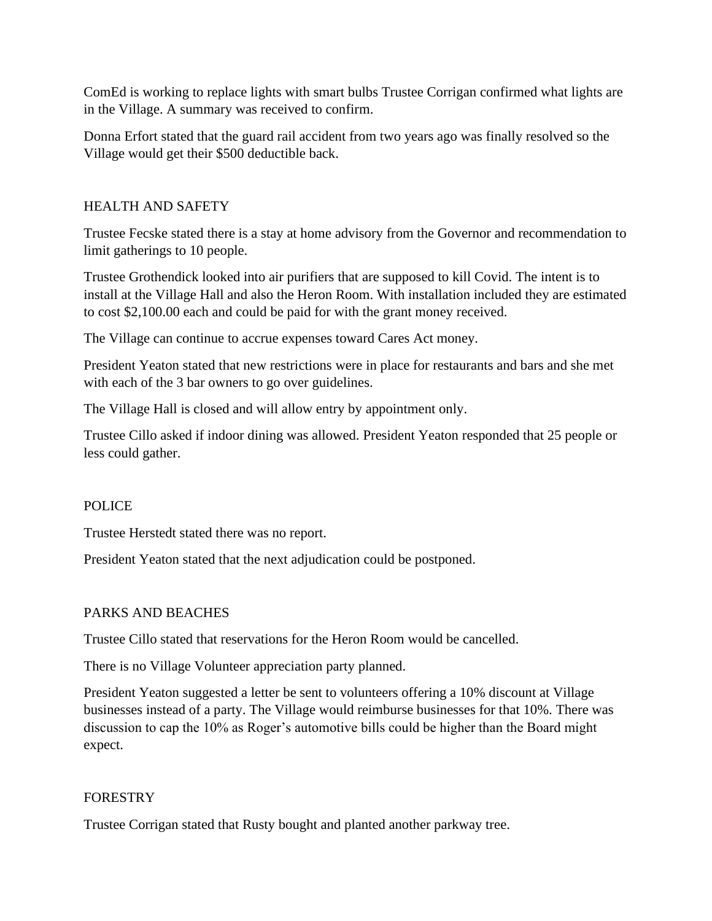ComEd is working to replace lights with smart bulbs Trustee Corrigan confirmed what lights are in the Village. A summary was received to confirm.

Donna Erfort stated that the guard rail accident from two years ago was finally resolved so the Village would get their \$500 deductible back.

# HEALTH AND SAFETY

Trustee Fecske stated there is a stay at home advisory from the Governor and recommendation to limit gatherings to 10 people.

Trustee Grothendick looked into air purifiers that are supposed to kill Covid. The intent is to install at the Village Hall and also the Heron Room. With installation included they are estimated to cost \$2,100.00 each and could be paid for with the grant money received.

The Village can continue to accrue expenses toward Cares Act money.

President Yeaton stated that new restrictions were in place for restaurants and bars and she met with each of the 3 bar owners to go over guidelines.

The Village Hall is closed and will allow entry by appointment only.

Trustee Cillo asked if indoor dining was allowed. President Yeaton responded that 25 people or less could gather.

# POLICE

Trustee Herstedt stated there was no report.

President Yeaton stated that the next adjudication could be postponed.

#### PARKS AND BEACHES

Trustee Cillo stated that reservations for the Heron Room would be cancelled.

There is no Village Volunteer appreciation party planned.

President Yeaton suggested a letter be sent to volunteers offering a 10% discount at Village businesses instead of a party. The Village would reimburse businesses for that 10%. There was discussion to cap the 10% as Roger's automotive bills could be higher than the Board might expect.

#### FORESTRY

Trustee Corrigan stated that Rusty bought and planted another parkway tree.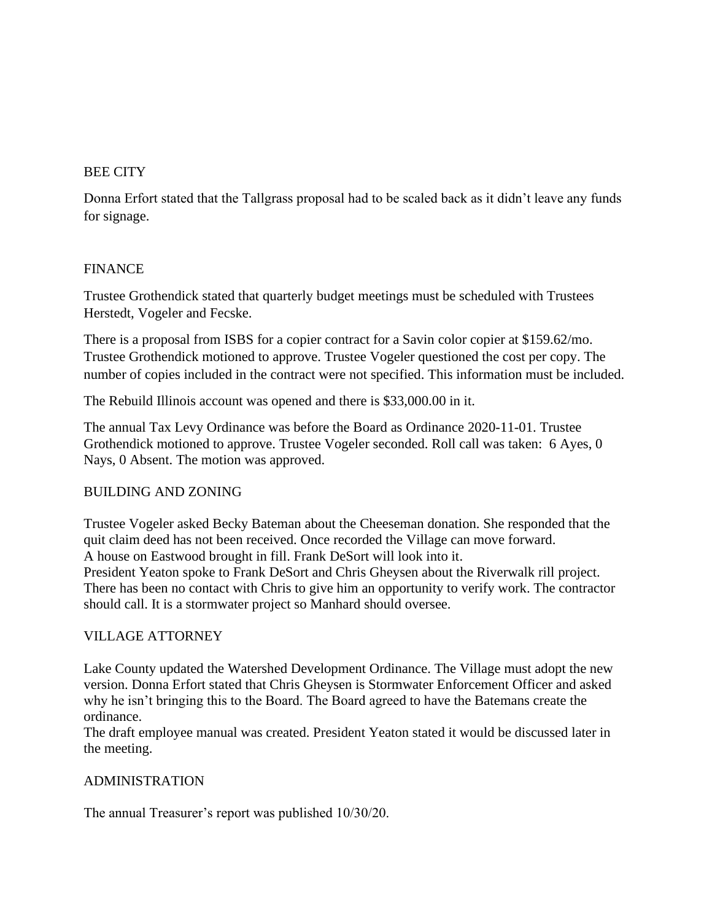# BEE CITY

Donna Erfort stated that the Tallgrass proposal had to be scaled back as it didn't leave any funds for signage.

### FINANCE

Trustee Grothendick stated that quarterly budget meetings must be scheduled with Trustees Herstedt, Vogeler and Fecske.

There is a proposal from ISBS for a copier contract for a Savin color copier at \$159.62/mo. Trustee Grothendick motioned to approve. Trustee Vogeler questioned the cost per copy. The number of copies included in the contract were not specified. This information must be included.

The Rebuild Illinois account was opened and there is \$33,000.00 in it.

The annual Tax Levy Ordinance was before the Board as Ordinance 2020-11-01. Trustee Grothendick motioned to approve. Trustee Vogeler seconded. Roll call was taken: 6 Ayes, 0 Nays, 0 Absent. The motion was approved.

# BUILDING AND ZONING

Trustee Vogeler asked Becky Bateman about the Cheeseman donation. She responded that the quit claim deed has not been received. Once recorded the Village can move forward. A house on Eastwood brought in fill. Frank DeSort will look into it.

President Yeaton spoke to Frank DeSort and Chris Gheysen about the Riverwalk rill project. There has been no contact with Chris to give him an opportunity to verify work. The contractor should call. It is a stormwater project so Manhard should oversee.

#### VILLAGE ATTORNEY

Lake County updated the Watershed Development Ordinance. The Village must adopt the new version. Donna Erfort stated that Chris Gheysen is Stormwater Enforcement Officer and asked why he isn't bringing this to the Board. The Board agreed to have the Batemans create the ordinance.

The draft employee manual was created. President Yeaton stated it would be discussed later in the meeting.

# ADMINISTRATION

The annual Treasurer's report was published 10/30/20.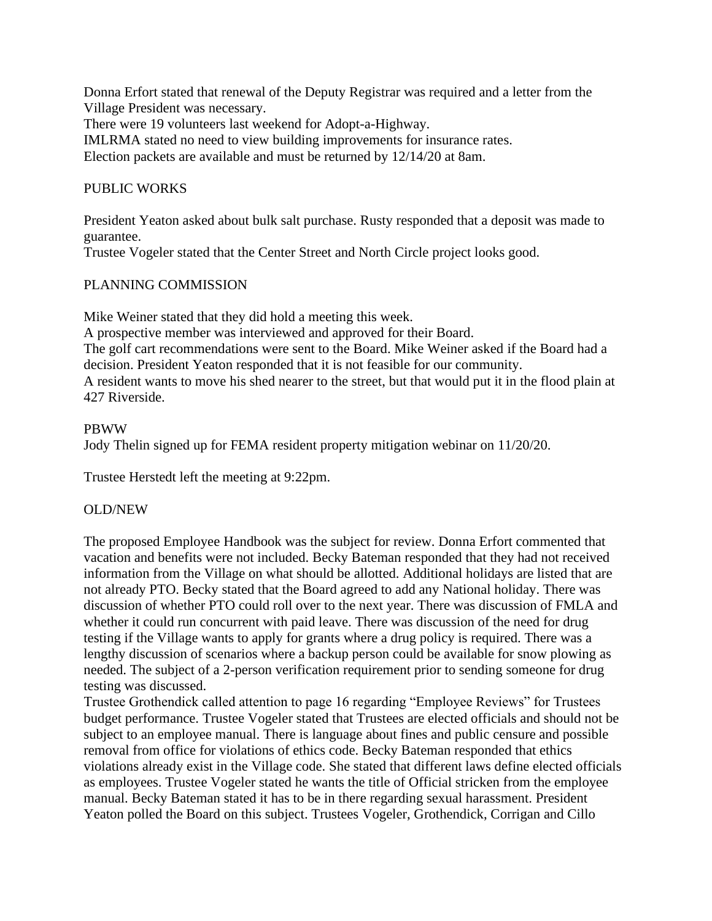Donna Erfort stated that renewal of the Deputy Registrar was required and a letter from the Village President was necessary.

There were 19 volunteers last weekend for Adopt-a-Highway.

IMLRMA stated no need to view building improvements for insurance rates.

Election packets are available and must be returned by 12/14/20 at 8am.

# PUBLIC WORKS

President Yeaton asked about bulk salt purchase. Rusty responded that a deposit was made to guarantee.

Trustee Vogeler stated that the Center Street and North Circle project looks good.

# PLANNING COMMISSION

Mike Weiner stated that they did hold a meeting this week.

A prospective member was interviewed and approved for their Board.

The golf cart recommendations were sent to the Board. Mike Weiner asked if the Board had a decision. President Yeaton responded that it is not feasible for our community.

A resident wants to move his shed nearer to the street, but that would put it in the flood plain at 427 Riverside.

### PBWW

Jody Thelin signed up for FEMA resident property mitigation webinar on 11/20/20.

Trustee Herstedt left the meeting at 9:22pm.

# OLD/NEW

The proposed Employee Handbook was the subject for review. Donna Erfort commented that vacation and benefits were not included. Becky Bateman responded that they had not received information from the Village on what should be allotted. Additional holidays are listed that are not already PTO. Becky stated that the Board agreed to add any National holiday. There was discussion of whether PTO could roll over to the next year. There was discussion of FMLA and whether it could run concurrent with paid leave. There was discussion of the need for drug testing if the Village wants to apply for grants where a drug policy is required. There was a lengthy discussion of scenarios where a backup person could be available for snow plowing as needed. The subject of a 2-person verification requirement prior to sending someone for drug testing was discussed.

Trustee Grothendick called attention to page 16 regarding "Employee Reviews" for Trustees budget performance. Trustee Vogeler stated that Trustees are elected officials and should not be subject to an employee manual. There is language about fines and public censure and possible removal from office for violations of ethics code. Becky Bateman responded that ethics violations already exist in the Village code. She stated that different laws define elected officials as employees. Trustee Vogeler stated he wants the title of Official stricken from the employee manual. Becky Bateman stated it has to be in there regarding sexual harassment. President Yeaton polled the Board on this subject. Trustees Vogeler, Grothendick, Corrigan and Cillo